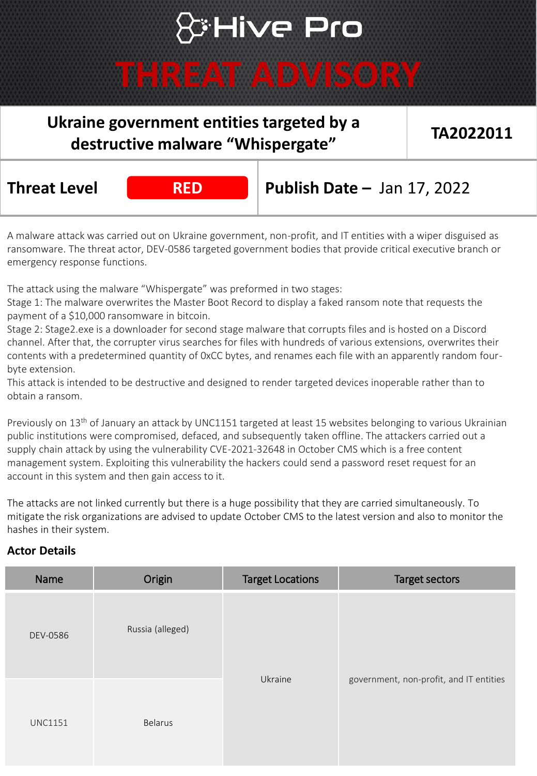# **S:Hive Pro**

### **THREAT ADVISORY**

### **Ukraine government entities targeted by a destructive malware "Whispergate"**

**TA2022011**

**Threat Level RED Publish Date –** Jan 17, 2022

A malware attack was carried out on Ukraine government, non-profit, and IT entities with a wiper disguised as ransomware. The threat actor, DEV-0586 targeted government bodies that provide critical executive branch or emergency response functions.

The attack using the malware "Whispergate" was preformed in two stages:

Stage 1: The malware overwrites the Master Boot Record to display a faked ransom note that requests the payment of a \$10,000 ransomware in bitcoin.

Stage 2: Stage2.exe is a downloader for second stage malware that corrupts files and is hosted on a Discord channel. After that, the corrupter virus searches for files with hundreds of various extensions, overwrites their contents with a predetermined quantity of 0xCC bytes, and renames each file with an apparently random fourbyte extension.

This attack is intended to be destructive and designed to render targeted devices inoperable rather than to obtain a ransom.

Previously on 13<sup>th</sup> of January an attack by UNC1151 targeted at least 15 websites belonging to various Ukrainian public institutions were compromised, defaced, and subsequently taken offline. The attackers carried out a supply chain attack by using the vulnerability CVE-2021-32648 in October CMS which is a free content management system. Exploiting this vulnerability the hackers could send a password reset request for an account in this system and then gain access to it.

The attacks are not linked currently but there is a huge possibility that they are carried simultaneously. To mitigate the risk organizations are advised to update October CMS to the latest version and also to monitor the hashes in their system.

### **Actor Details**

| Name           | Origin           | <b>Target Locations</b> | <b>Target sectors</b>                   |
|----------------|------------------|-------------------------|-----------------------------------------|
| DEV-0586       | Russia (alleged) | Ukraine                 |                                         |
| <b>UNC1151</b> | <b>Belarus</b>   |                         | government, non-profit, and IT entities |